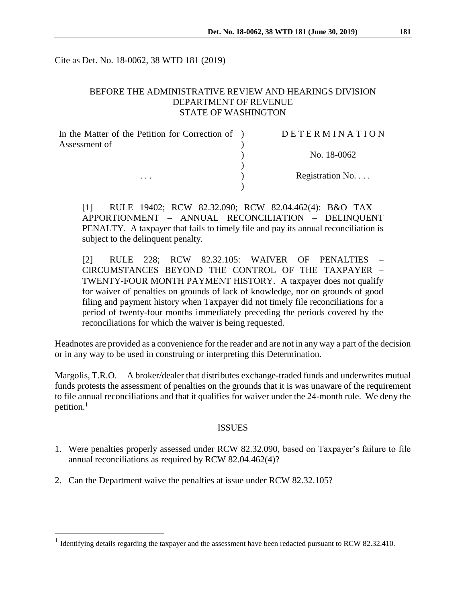Cite as Det. No. 18-0062, 38 WTD 181 (2019)

## BEFORE THE ADMINISTRATIVE REVIEW AND HEARINGS DIVISION DEPARTMENT OF REVENUE STATE OF WASHINGTON

| In the Matter of the Petition for Correction of ) | DETERMINATION            |
|---------------------------------------------------|--------------------------|
| Assessment of                                     |                          |
|                                                   | No. 18-0062              |
|                                                   |                          |
| $\cdots$                                          | Registration No. $\dots$ |
|                                                   |                          |

[1] RULE 19402; RCW 82.32.090; RCW 82.04.462(4): B&O TAX – APPORTIONMENT – ANNUAL RECONCILIATION – DELINQUENT PENALTY. A taxpayer that fails to timely file and pay its annual reconciliation is subject to the delinquent penalty.

[2] RULE 228; RCW 82.32.105: WAIVER OF PENALTIES – CIRCUMSTANCES BEYOND THE CONTROL OF THE TAXPAYER – TWENTY-FOUR MONTH PAYMENT HISTORY. A taxpayer does not qualify for waiver of penalties on grounds of lack of knowledge, nor on grounds of good filing and payment history when Taxpayer did not timely file reconciliations for a period of twenty-four months immediately preceding the periods covered by the reconciliations for which the waiver is being requested.

Headnotes are provided as a convenience for the reader and are not in any way a part of the decision or in any way to be used in construing or interpreting this Determination.

Margolis, T.R.O. – A broker/dealer that distributes exchange-traded funds and underwrites mutual funds protests the assessment of penalties on the grounds that it is was unaware of the requirement to file annual reconciliations and that it qualifies for waiver under the 24-month rule. We deny the petition.<sup>1</sup>

#### ISSUES

- 1. Were penalties properly assessed under RCW 82.32.090, based on Taxpayer's failure to file annual reconciliations as required by RCW 82.04.462(4)?
- 2. Can the Department waive the penalties at issue under RCW 82.32.105?

 $\overline{a}$ 

<sup>&</sup>lt;sup>1</sup> Identifying details regarding the taxpayer and the assessment have been redacted pursuant to RCW 82.32.410.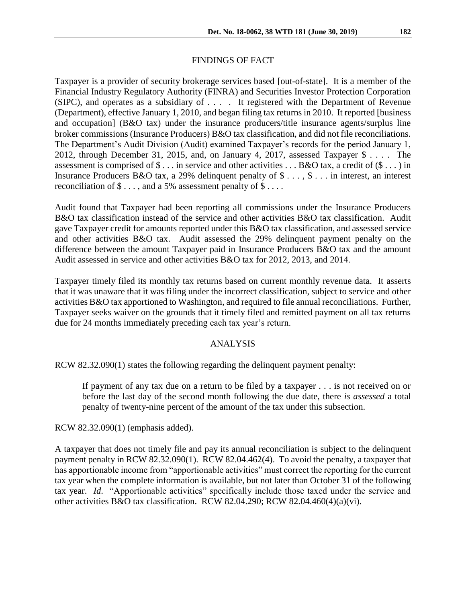## FINDINGS OF FACT

Taxpayer is a provider of security brokerage services based [out-of-state]. It is a member of the Financial Industry Regulatory Authority (FINRA) and Securities Investor Protection Corporation (SIPC), and operates as a subsidiary of . . . . It registered with the Department of Revenue (Department), effective January 1, 2010, and began filing tax returns in 2010. It reported [business and occupation] (B&O tax) under the insurance producers/title insurance agents/surplus line broker commissions (Insurance Producers) B&O tax classification, and did not file reconciliations. The Department's Audit Division (Audit) examined Taxpayer's records for the period January 1, 2012, through December 31, 2015, and, on January 4, 2017, assessed Taxpayer \$ . . . . The assessment is comprised of  $\$\dots$  in service and other activities  $\dots$  B&O tax, a credit of  $(\$\dots)$  in Insurance Producers B&O tax, a 29% delinquent penalty of \$ . . . , \$ . . . in interest, an interest reconciliation of  $\$\dots$ , and a 5% assessment penalty of  $\S\dots$ .

Audit found that Taxpayer had been reporting all commissions under the Insurance Producers B&O tax classification instead of the service and other activities B&O tax classification. Audit gave Taxpayer credit for amounts reported under this B&O tax classification, and assessed service and other activities B&O tax. Audit assessed the 29% delinquent payment penalty on the difference between the amount Taxpayer paid in Insurance Producers B&O tax and the amount Audit assessed in service and other activities B&O tax for 2012, 2013, and 2014.

Taxpayer timely filed its monthly tax returns based on current monthly revenue data. It asserts that it was unaware that it was filing under the incorrect classification, subject to service and other activities B&O tax apportioned to Washington, and required to file annual reconciliations. Further, Taxpayer seeks waiver on the grounds that it timely filed and remitted payment on all tax returns due for 24 months immediately preceding each tax year's return.

#### ANALYSIS

RCW 82.32.090(1) states the following regarding the delinquent payment penalty:

If payment of any tax due on a return to be filed by a taxpayer . . . is not received on or before the last day of the second month following the due date, there *is assessed* a total penalty of twenty-nine percent of the amount of the tax under this subsection.

RCW 82.32.090(1) (emphasis added).

A taxpayer that does not timely file and pay its annual reconciliation is subject to the delinquent payment penalty in RCW 82.32.090(1). RCW 82.04.462(4). To avoid the penalty, a taxpayer that has apportionable income from "apportionable activities" must correct the reporting for the current tax year when the complete information is available, but not later than October 31 of the following tax year. *Id*. "Apportionable activities" specifically include those taxed under the service and other activities B&O tax classification. RCW 82.04.290; RCW 82.04.460(4)(a)(vi).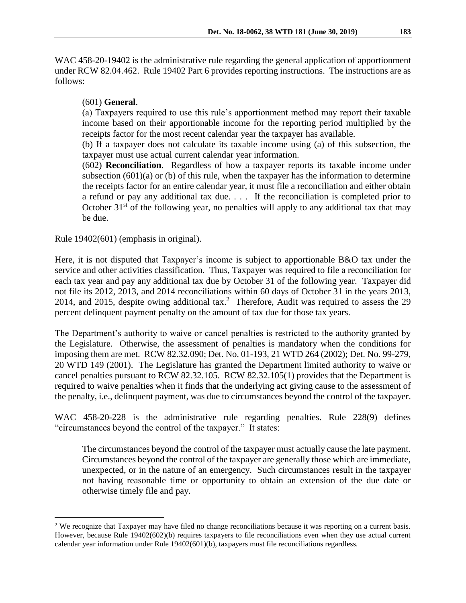WAC 458-20-19402 is the administrative rule regarding the general application of apportionment under RCW 82.04.462. Rule 19402 Part 6 provides reporting instructions. The instructions are as follows:

## (601) **General**.

(a) Taxpayers required to use this rule's apportionment method may report their taxable income based on their apportionable income for the reporting period multiplied by the receipts factor for the most recent calendar year the taxpayer has available.

(b) If a taxpayer does not calculate its taxable income using (a) of this subsection, the taxpayer must use actual current calendar year information.

(602) **Reconciliation**. Regardless of how a taxpayer reports its taxable income under subsection  $(601)(a)$  or  $(b)$  of this rule, when the taxpayer has the information to determine the receipts factor for an entire calendar year, it must file a reconciliation and either obtain a refund or pay any additional tax due. . . . If the reconciliation is completed prior to October  $31<sup>st</sup>$  of the following year, no penalties will apply to any additional tax that may be due.

Rule 19402(601) (emphasis in original).

 $\overline{a}$ 

Here, it is not disputed that Taxpayer's income is subject to apportionable B&O tax under the service and other activities classification. Thus, Taxpayer was required to file a reconciliation for each tax year and pay any additional tax due by October 31 of the following year. Taxpayer did not file its 2012, 2013, and 2014 reconciliations within 60 days of October 31 in the years 2013, 2014, and 2015, despite owing additional tax.<sup>2</sup> Therefore, Audit was required to assess the 29 percent delinquent payment penalty on the amount of tax due for those tax years.

The Department's authority to waive or cancel penalties is restricted to the authority granted by the Legislature. Otherwise, the assessment of penalties is mandatory when the conditions for imposing them are met. RCW 82.32.090; Det. No. 01-193, 21 WTD 264 (2002); Det. No. 99-279, 20 WTD 149 (2001). The Legislature has granted the Department limited authority to waive or cancel penalties pursuant to RCW 82.32.105. RCW 82.32.105(1) provides that the Department is required to waive penalties when it finds that the underlying act giving cause to the assessment of the penalty, i.e., delinquent payment, was due to circumstances beyond the control of the taxpayer.

WAC 458-20-228 is the administrative rule regarding penalties. Rule 228(9) defines "circumstances beyond the control of the taxpayer." It states:

The circumstances beyond the control of the taxpayer must actually cause the late payment. Circumstances beyond the control of the taxpayer are generally those which are immediate, unexpected, or in the nature of an emergency. Such circumstances result in the taxpayer not having reasonable time or opportunity to obtain an extension of the due date or otherwise timely file and pay.

<sup>&</sup>lt;sup>2</sup> We recognize that Taxpayer may have filed no change reconciliations because it was reporting on a current basis. However, because Rule 19402(602)(b) requires taxpayers to file reconciliations even when they use actual current calendar year information under Rule 19402(601)(b), taxpayers must file reconciliations regardless.